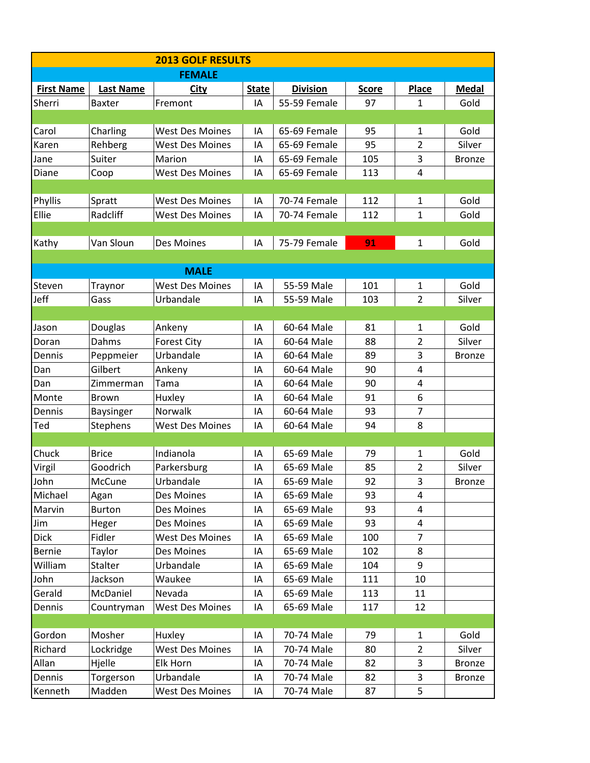| <b>2013 GOLF RESULTS</b> |                  |                        |              |                 |              |                         |               |  |  |  |  |  |
|--------------------------|------------------|------------------------|--------------|-----------------|--------------|-------------------------|---------------|--|--|--|--|--|
|                          |                  | <b>FEMALE</b>          |              |                 |              |                         |               |  |  |  |  |  |
| <b>First Name</b>        | <b>Last Name</b> | <b>City</b>            | <b>State</b> | <b>Division</b> | <u>Score</u> | <b>Place</b>            | <b>Medal</b>  |  |  |  |  |  |
| Sherri                   | Baxter           | Fremont                | IA           | 55-59 Female    | 97           | $\mathbf{1}$            | Gold          |  |  |  |  |  |
|                          |                  |                        |              |                 |              |                         |               |  |  |  |  |  |
| Carol                    | Charling         | <b>West Des Moines</b> | IA           | 65-69 Female    | 95           | 1                       | Gold          |  |  |  |  |  |
| Karen                    | Rehberg          | <b>West Des Moines</b> | IA           | 65-69 Female    | 95           | 2                       | Silver        |  |  |  |  |  |
| Jane                     | Suiter           | Marion                 | IA           | 65-69 Female    | 105          | 3                       | <b>Bronze</b> |  |  |  |  |  |
| Diane                    | Coop             | <b>West Des Moines</b> | IA           | 65-69 Female    | 113          | $\overline{4}$          |               |  |  |  |  |  |
|                          |                  |                        |              |                 |              |                         |               |  |  |  |  |  |
| Phyllis                  | Spratt           | <b>West Des Moines</b> | IA           | 70-74 Female    | 112          | 1                       | Gold          |  |  |  |  |  |
| Ellie                    | Radcliff         | <b>West Des Moines</b> | IA           | 70-74 Female    | 112          | $\mathbf{1}$            | Gold          |  |  |  |  |  |
|                          |                  |                        |              |                 |              |                         |               |  |  |  |  |  |
| Kathy                    | Van Sloun        | Des Moines             | IA           | 75-79 Female    | 91           | 1                       | Gold          |  |  |  |  |  |
|                          |                  |                        |              |                 |              |                         |               |  |  |  |  |  |
|                          |                  | <b>MALE</b>            |              |                 |              |                         |               |  |  |  |  |  |
| Steven                   | Traynor          | <b>West Des Moines</b> | IA           | 55-59 Male      | 101          | 1                       | Gold          |  |  |  |  |  |
| Jeff                     | Gass             | Urbandale              | IA           | 55-59 Male      | 103          | $\overline{2}$          | Silver        |  |  |  |  |  |
|                          |                  |                        |              |                 |              |                         |               |  |  |  |  |  |
| Jason                    | Douglas          | Ankeny                 | IA           | 60-64 Male      | 81           | 1                       | Gold          |  |  |  |  |  |
| Doran                    | Dahms            | <b>Forest City</b>     | IA           | 60-64 Male      | 88           | 2                       | Silver        |  |  |  |  |  |
| Dennis                   | Peppmeier        | Urbandale              | IA           | 60-64 Male      | 89           | 3                       | <b>Bronze</b> |  |  |  |  |  |
| Dan                      | Gilbert          | Ankeny                 | IA           | 60-64 Male      | 90           | $\overline{4}$          |               |  |  |  |  |  |
| Dan                      | Zimmerman        | Tama                   | ΙA           | 60-64 Male      | 90           | $\overline{\mathbf{4}}$ |               |  |  |  |  |  |
| Monte                    | <b>Brown</b>     | Huxley                 | IA           | 60-64 Male      | 91           | 6                       |               |  |  |  |  |  |
| Dennis                   | <b>Baysinger</b> | Norwalk                | IA           | 60-64 Male      | 93           | 7                       |               |  |  |  |  |  |
| Ted                      | Stephens         | <b>West Des Moines</b> | IA           | 60-64 Male      | 94           | 8                       |               |  |  |  |  |  |
|                          |                  |                        |              |                 |              |                         |               |  |  |  |  |  |
| Chuck                    | <b>Brice</b>     | Indianola              | IA           | 65-69 Male      | 79           | 1                       | Gold          |  |  |  |  |  |
| Virgil                   | Goodrich         | Parkersburg            | IA           | 65-69 Male      | 85           | $\overline{2}$          | Silver        |  |  |  |  |  |
| John                     | McCune           | Urbandale              | IA           | 65-69 Male      | 92           | 3                       | Bronze        |  |  |  |  |  |
| Michael                  | Agan             | Des Moines             | IA           | 65-69 Male      | 93           | 4                       |               |  |  |  |  |  |
| Marvin                   | <b>Burton</b>    | Des Moines             | IA           | 65-69 Male      | 93           | $\overline{a}$          |               |  |  |  |  |  |
| Jim                      | Heger            | Des Moines             | ΙA           | 65-69 Male      | 93           | 4                       |               |  |  |  |  |  |
| <b>Dick</b>              | Fidler           | <b>West Des Moines</b> | IA           | 65-69 Male      | 100          | $\overline{7}$          |               |  |  |  |  |  |
| Bernie                   | Taylor           | Des Moines             | IA           | 65-69 Male      | 102          | 8                       |               |  |  |  |  |  |
| William                  | Stalter          | Urbandale              | IA           | 65-69 Male      | 104          | $9\,$                   |               |  |  |  |  |  |
| John                     | Jackson          | Waukee                 | IA           | 65-69 Male      | 111          | 10                      |               |  |  |  |  |  |
| Gerald                   | McDaniel         | Nevada                 | IA           | 65-69 Male      | 113          | 11                      |               |  |  |  |  |  |
| Dennis                   | Countryman       | <b>West Des Moines</b> | IA           | 65-69 Male      | 117          | 12                      |               |  |  |  |  |  |
|                          |                  |                        |              |                 |              |                         |               |  |  |  |  |  |
| Gordon                   | Mosher           | Huxley                 | IA           | 70-74 Male      | 79           | 1                       | Gold          |  |  |  |  |  |
| Richard                  | Lockridge        | <b>West Des Moines</b> | IA           | 70-74 Male      | 80           | $\overline{2}$          | Silver        |  |  |  |  |  |
| Allan                    | Hjelle           | Elk Horn               | IA           | 70-74 Male      | 82           | 3                       | <b>Bronze</b> |  |  |  |  |  |
| Dennis                   | Torgerson        | Urbandale              | IA           | 70-74 Male      | 82           | 3                       | <b>Bronze</b> |  |  |  |  |  |
| Kenneth                  | Madden           | <b>West Des Moines</b> | ΙA           | 70-74 Male      | 87           | 5                       |               |  |  |  |  |  |